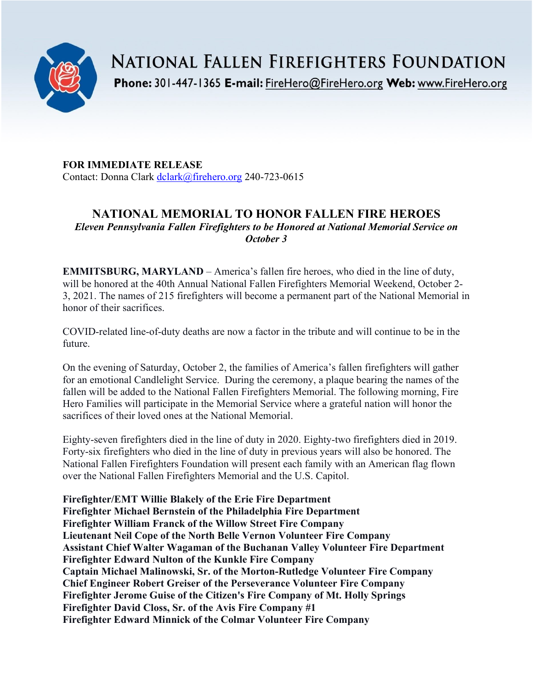

**NATIONAL FALLEN FIREFIGHTERS FOUNDATION** 

Phone: 301-447-1365 E-mail: FireHero@FireHero.org Web: www.FireHero.org

**FOR IMMEDIATE RELEASE** Contact: Donna Clark [dclark@firehero.org](mailto:dclark@firehero.org) 240-723-0615

# **NATIONAL MEMORIAL TO HONOR FALLEN FIRE HEROES** *Eleven Pennsylvania Fallen Firefighters to be Honored at National Memorial Service on October 3*

**EMMITSBURG, MARYLAND** – America's fallen fire heroes, who died in the line of duty, will be honored at the 40th Annual National Fallen Firefighters Memorial Weekend, October 2- 3, 2021. The names of 215 firefighters will become a permanent part of the National Memorial in honor of their sacrifices.

COVID-related line-of-duty deaths are now a factor in the tribute and will continue to be in the future.

On the evening of Saturday, October 2, the families of America's fallen firefighters will gather for an emotional Candlelight Service. During the ceremony, a plaque bearing the names of the fallen will be added to the National Fallen Firefighters Memorial. The following morning, Fire Hero Families will participate in the Memorial Service where a grateful nation will honor the sacrifices of their loved ones at the National Memorial.

Eighty-seven firefighters died in the line of duty in 2020. Eighty-two firefighters died in 2019. Forty-six firefighters who died in the line of duty in previous years will also be honored. The National Fallen Firefighters Foundation will present each family with an American flag flown over the National Fallen Firefighters Memorial and the U.S. Capitol.

**Firefighter/EMT Willie Blakely of the Erie Fire Department Firefighter Michael Bernstein of the Philadelphia Fire Department Firefighter William Franck of the Willow Street Fire Company Lieutenant Neil Cope of the North Belle Vernon Volunteer Fire Company Assistant Chief Walter Wagaman of the Buchanan Valley Volunteer Fire Department Firefighter Edward Nulton of the Kunkle Fire Company Captain Michael Malinowski, Sr. of the Morton-Rutledge Volunteer Fire Company Chief Engineer Robert Greiser of the Perseverance Volunteer Fire Company Firefighter Jerome Guise of the Citizen's Fire Company of Mt. Holly Springs Firefighter David Closs, Sr. of the Avis Fire Company #1 Firefighter Edward Minnick of the Colmar Volunteer Fire Company**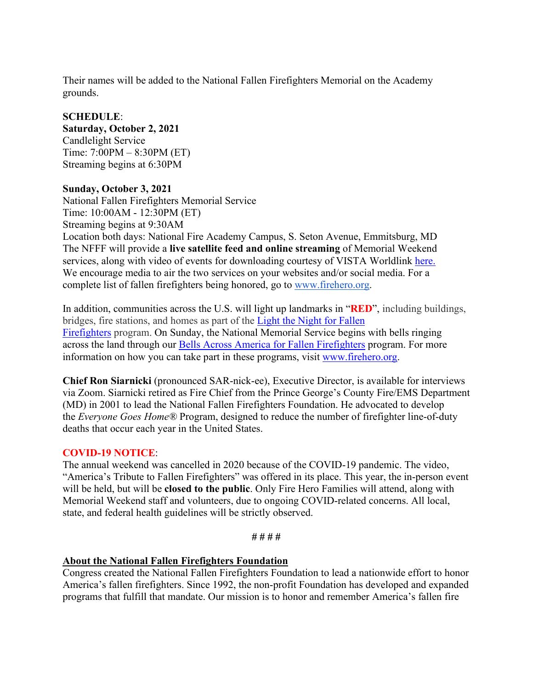Their names will be added to the National Fallen Firefighters Memorial on the Academy grounds.

#### **SCHEDULE**:

**Saturday, October 2, 2021** Candlelight Service Time: 7:00PM – 8:30PM (ET) Streaming begins at 6:30PM

### **Sunday, October 3, 2021**

National Fallen Firefighters Memorial Service Time: 10:00AM - 12:30PM (ET) Streaming begins at 9:30AM Location both days: National Fire Academy Campus, S. Seton Avenue, Emmitsburg, MD The NFFF will provide a **live satellite feed and online streaming** of Memorial Weekend services, along with video of events for downloading courtesy of VISTA Worldlink [here.](https://www.firehero.org/events/memorial-weekend/attending-memorial-weekend/ways-honor-fallen/watch-live/) We encourage media to air the two services on your websites and/or social media. For a complete list of fallen firefighters being honored, go to [www.firehero.org.](http://www.firehero.org/)

In addition, communities across the U.S. will light up landmarks in "**RED**", including buildings, bridges, fire stations, and homes as part of the [Light the Night for Fallen](https://www.firehero.org/events/memorial-weekend/about/light-night-fallen-firefighters/)  [Firefighters](https://www.firehero.org/events/memorial-weekend/about/light-night-fallen-firefighters/) program. On Sunday, the National Memorial Service begins with bells ringing across the land through our [Bells Across America for Fallen Firefighters](https://www.firehero.org/events/memorial-weekend/about/bells-across-america/participation-form/) program. For more information on how you can take part in these programs, visit [www.firehero.org.](http://www.firehero.org/)

**Chief Ron Siarnicki** (pronounced SAR-nick-ee), Executive Director, is available for interviews via Zoom. Siarnicki retired as Fire Chief from the Prince George's County Fire/EMS Department (MD) in 2001 to lead the National Fallen Firefighters Foundation. He advocated to develop the *Everyone Goes Home®* Program, designed to reduce the number of firefighter line-of-duty deaths that occur each year in the United States.

# **COVID-19 NOTICE**:

The annual weekend was cancelled in 2020 because of the COVID-19 pandemic. The video, "America's Tribute to Fallen Firefighters" was offered in its place. This year, the in-person event will be held, but will be **closed to the public**. Only Fire Hero Families will attend, along with Memorial Weekend staff and volunteers, due to ongoing COVID-related concerns. All local, state, and federal health guidelines will be strictly observed.

#### **# # # #**

# **About the National Fallen Firefighters Foundation**

Congress created the National Fallen Firefighters Foundation to lead a nationwide effort to honor America's fallen firefighters. Since 1992, the non-profit Foundation has developed and expanded programs that fulfill that mandate. Our mission is to honor and remember America's fallen fire